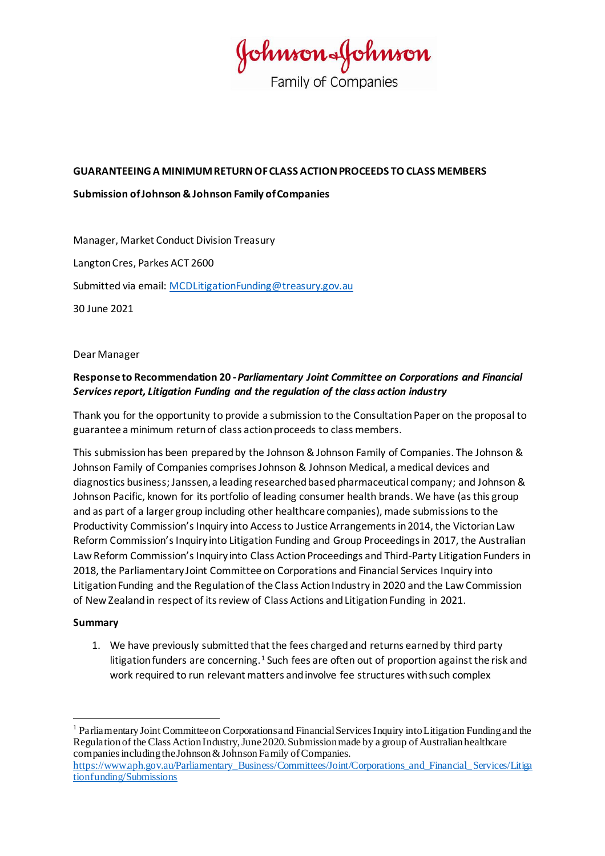fohnson-fohnson **Family of Companies** 

#### **GUARANTEEING A MINIMUM RETURN OF CLASS ACTION PROCEEDS TO CLASS MEMBERS**

#### **Submission of Johnson & Johnson Family of Companies**

Manager, Market Conduct Division Treasury Langton Cres, Parkes ACT 2600 Submitted via email: [MCDLitigationFunding@treasury.gov.au](mailto:MCDLitigationFunding@treasury.gov.au) 30 June 2021

Dear Manager

## **Response to Recommendation 20 -***Parliamentary Joint Committee on Corporations and Financial Services report, Litigation Funding and the regulation of the class action industry*

Thank you for the opportunity to provide a submission to the Consultation Paper on the proposal to guarantee a minimum return of class action proceeds to class members.

This submission has been prepared by the Johnson & Johnson Family of Companies. The Johnson & Johnson Family of Companies comprises Johnson & Johnson Medical, a medical devices and diagnostics business; Janssen, a leading researched based pharmaceutical company; and Johnson & Johnson Pacific, known for its portfolio of leading consumer health brands. We have (as this group and as part of a larger group including other healthcare companies), made submissions to the Productivity Commission's Inquiry into Access to Justice Arrangements in 2014, the Victorian Law Reform Commission's Inquiry into Litigation Funding and Group Proceedings in 2017, the Australian Law Reform Commission's Inquiry into Class Action Proceedings and Third-Party Litigation Funders in 2018, the Parliamentary Joint Committee on Corporations and Financial Services Inquiry into Litigation Funding and the Regulation of the Class Action Industry in 2020 and the Law Commission of New Zealand in respect of its review of Class Actions and Litigation Funding in 2021.

#### **Summary**

1. We have previously submitted that the fees charged and returns earned by third party litigation funders are concerning.<sup>1</sup> Such fees are often out of proportion against the risk and work required to run relevant matters and involve fee structures with such complex

<sup>&</sup>lt;sup>1</sup> Parliamentary Joint Committee on Corporations and Financial Services Inquiry into Litigation Funding and the Regulation of the Class Action Industry, June 2020. Submission made by a group of Australian healthcare companies including the Johnson & Johnson Family of Companies.

[https://www.aph.gov.au/Parliamentary\\_Business/Committees/Joint/Corporations\\_and\\_Financial\\_Services/Litiga](https://www.aph.gov.au/Parliamentary_Business/Committees/Joint/Corporations_and_Financial_Services/Litigationfunding/Submissions) [tionfunding/Submissions](https://www.aph.gov.au/Parliamentary_Business/Committees/Joint/Corporations_and_Financial_Services/Litigationfunding/Submissions)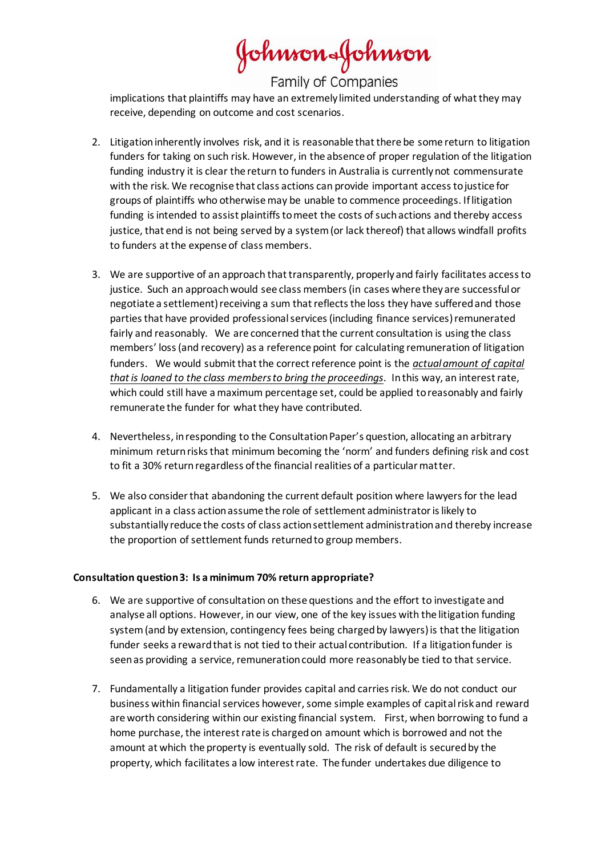Johnson&Johnson

Family of Companies

implications that plaintiffs may have an extremely limited understanding of what they may receive, depending on outcome and cost scenarios.

- 2. Litigation inherently involves risk, and it is reasonable that there be some return to litigation funders for taking on such risk. However, in the absence of proper regulation of the litigation funding industry it is clear the return to funders in Australia is currently not commensurate with the risk. We recognise that class actions can provide important access to justice for groups of plaintiffs who otherwise may be unable to commence proceedings. If litigation funding is intended to assist plaintiffs to meet the costs of such actions and thereby access justice, that end is not being served by a system (or lack thereof) that allows windfall profits to funders at the expense of class members.
- 3. We are supportive of an approach that transparently, properly and fairly facilitates access to justice. Such an approach would see class members (in cases where they are successful or negotiate a settlement) receiving a sum that reflects the loss they have suffered and those parties that have provided professional services (including finance services) remunerated fairly and reasonably. We are concerned that the current consultation is using the class members' loss (and recovery) as a reference point for calculating remuneration of litigation funders. We would submit that the correct reference point is the *actual amount of capital that is loaned to the class members to bring the proceedings*. In this way, an interest rate, which could still have a maximum percentage set, could be applied to reasonably and fairly remunerate the funder for what they have contributed.
- 4. Nevertheless, in responding to the Consultation Paper's question, allocating an arbitrary minimum return risks that minimum becoming the 'norm' and funders defining risk and cost to fit a 30% return regardless of the financial realities of a particular matter.
- 5. We also consider that abandoning the current default position where lawyers for the lead applicant in a class action assume the role of settlement administrator is likely to substantially reduce the costs of class action settlement administration and thereby increase the proportion of settlement funds returned to group members.

#### **Consultation question 3: Is a minimum 70% return appropriate?**

- 6. We are supportive of consultation on these questions and the effort to investigate and analyse all options. However, in our view, one of the key issues with the litigation funding system (and by extension, contingency fees being charged by lawyers) is that the litigation funder seeks a reward that is not tied to their actual contribution. If a litigation funder is seen as providing a service, remuneration could more reasonably be tied to that service.
- 7. Fundamentally a litigation funder provides capital and carries risk. We do not conduct our business within financial services however, some simple examples of capital risk and reward are worth considering within our existing financial system. First, when borrowing to fund a home purchase, the interest rate is charged on amount which is borrowed and not the amount at which the property is eventually sold. The risk of default is secured by the property, which facilitates a low interest rate. The funder undertakes due diligence to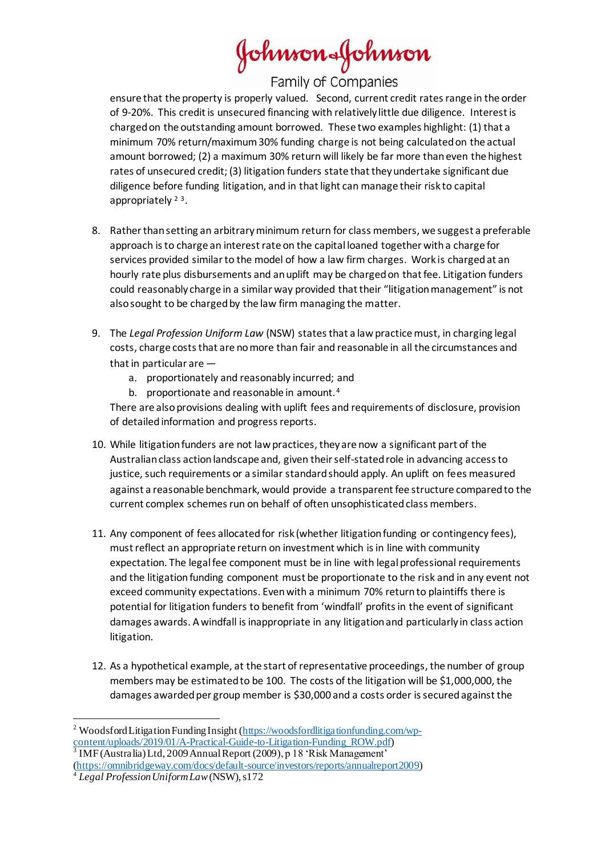# Johnson&Johnson

Family of Companies

ensure that the property is properly valued. Second, current credit rates range in the order of 9-20%. This credit is unsecured financing with relatively little due diligence. Interest is charged on the outstanding amount borrowed. These two examples highlight: (1) that a minimum 70% return/maximum 30% funding charge is not being calculated on the actual amount borrowed; (2) a maximum 30% return will likely be far more than even the highest rates of unsecured credit; (3) litigation funders state that they undertake significant due diligence before funding litigation, and in that light can manage their risk to capital appropriately<sup>23</sup>.

- 8. Rather than setting an arbitrary minimum return for class members, we suggest a preferable approach is to charge an interest rate on the capital loaned together with a charge for services provided similar to the model of how a law firm charges. Work is charged at an hourly rate plus disbursements and an uplift may be charged on that fee. Litigation funders could reasonably charge in a similar way provided that their "litigation management" is not also sought to be charged by the law firm managing the matter.
- 9. The *Legal Profession Uniform Law* (NSW) states that a law practice must, in charging legal costs, charge costs that are no more than fair and reasonable in all the circumstances and that in particular are
	- a. proportionately and reasonably incurred; and
	- b. proportionate and reasonable in amount.<sup>4</sup>

There are also provisions dealing with uplift fees and requirements of disclosure, provision of detailed information and progress reports.

- 10. While litigation funders are not law practices, they are now a significant part of the Australian class action landscape and, given their self-stated role in advancing access to justice, such requirements or a similar standard should apply. An uplift on fees measured against a reasonable benchmark, would provide a transparent fee structure compared to the current complex schemes run on behalf of often unsophisticated class members.
- 11. Any component of fees allocated for risk (whether litigation funding or contingency fees), must reflect an appropriate return on investment which is in line with community expectation. The legal fee component must be in line with legal professional requirements and the litigation funding component must be proportionate to the risk and in any event not exceed community expectations. Even with a minimum 70% return to plaintiffs there is potential for litigation funders to benefit from 'windfall' profits in the event of significant damages awards. A windfall is inappropriate in any litigation and particularly in class action litigation.
- 12. As a hypothetical example, at the start of representative proceedings, the number of group members may be estimated to be 100. The costs of the litigation will be \$1,000,000, the damages awarded per group member is \$30,000 and a costs order is secured against the

<sup>&</sup>lt;sup>2</sup> Woodsford Litigation Funding Insight [\(https://woodsfordlitigationfunding.com/wp](https://woodsfordlitigationfunding.com/wp-content/uploads/2019/01/A-Practical-Guide-to-Litigation-Funding_ROW.pdf)[content/uploads/2019/01/A-Practical-Guide-to-Litigation-Funding\\_ROW.pdf](https://woodsfordlitigationfunding.com/wp-content/uploads/2019/01/A-Practical-Guide-to-Litigation-Funding_ROW.pdf)) 3 IMF (Australia) Ltd, 2009 Annual Report (2009), p 18 'Risk Management'

[<sup>\(</sup>https://omnibridgeway.com/docs/default-source/investors/reports/annualreport2009](https://omnibridgeway.com/docs/default-source/investors/reports/annualreport2009)) <sup>4</sup> *Legal Profession Uniform Law*(NSW), s172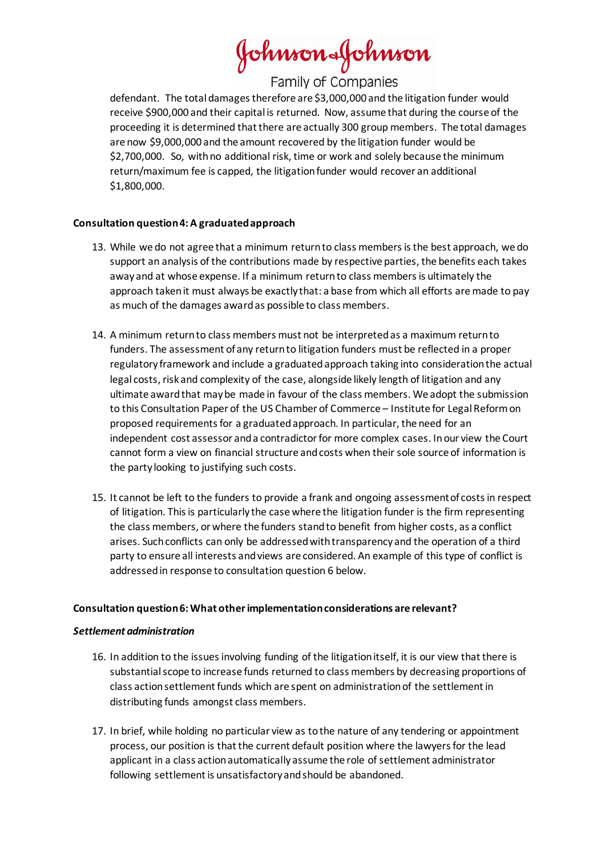Johnson&Johnson

Family of Companies

defendant. The total damages therefore are \$3,000,000 and the litigation funder would receive \$900,000 and their capital is returned. Now, assume that during the course of the proceeding it is determined that there are actually 300 group members. The total damages are now \$9,000,000 and the amount recovered by the litigation funder would be \$2,700,000. So, with no additional risk, time or work and solely because the minimum return/maximum fee is capped, the litigation funder would recover an additional \$1,800,000.

### **Consultation question 4: A graduated approach**

- 13. While we do not agree that a minimum return to class members is the best approach, we do support an analysis of the contributions made by respective parties, the benefits each takes away and at whose expense. If a minimum return to class members is ultimately the approach taken it must always be exactly that: a base from which all efforts are made to pay as much of the damages award as possible to class members.
- 14. A minimum return to class members must not be interpreted as a maximum return to funders. The assessment of any return to litigation funders must be reflected in a proper regulatory framework and include a graduated approach taking into consideration the actual legal costs, risk and complexity of the case, alongside likely length of litigation and any ultimate award that may be made in favour of the class members. We adopt the submission to this Consultation Paper of the US Chamber of Commerce – Institute for Legal Reform on proposed requirements for a graduated approach. In particular, the need for an independent cost assessor and a contradictor for more complex cases. In our view the Court cannot form a view on financial structure and costs when their sole source of information is the party looking to justifying such costs.
- 15. It cannot be left to the funders to provide a frank and ongoing assessment of costs in respect of litigation. This is particularly the case where the litigation funder is the firm representing the class members, or where the funders stand to benefit from higher costs, as a conflict arises. Such conflicts can only be addressed with transparency and the operation of a third party to ensure all interests and views are considered. An example of this type of conflict is addressed in response to consultation question 6 below.

#### **Consultation question 6: What other implementation considerations are relevant?**

#### *Settlement administration*

- 16. In addition to the issues involving funding of the litigation itself, it is our view that there is substantial scope to increase funds returned to class members by decreasing proportions of class action settlement funds which are spent on administration of the settlement in distributing funds amongst class members.
- 17. In brief, while holding no particular view as to the nature of any tendering or appointment process, our position is that the current default position where the lawyers for the lead applicant in a class action automatically assume the role of settlement administrator following settlement is unsatisfactory and should be abandoned.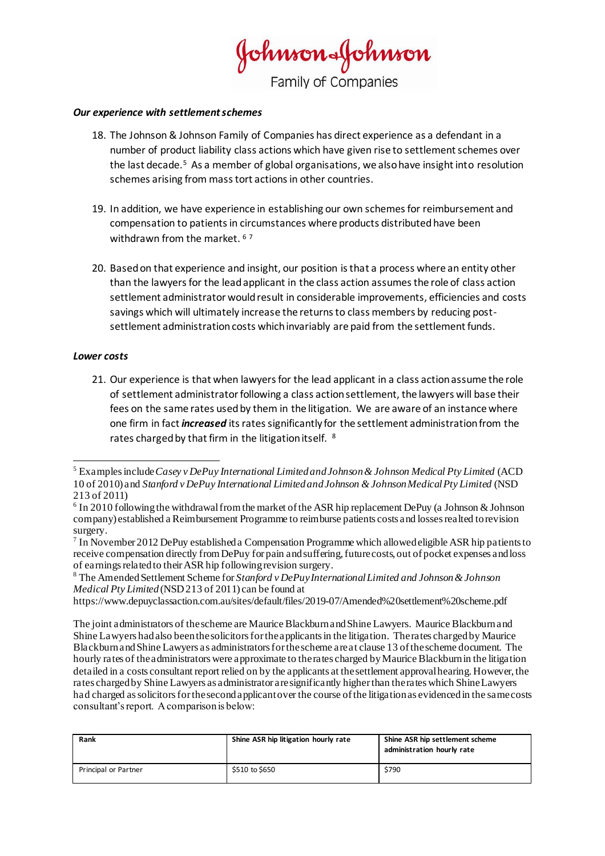Johnson&Johnson Family of Companies

#### *Our experience with settlement schemes*

- 18. The Johnson & Johnson Family of Companies has direct experience as a defendant in a number of product liability class actions which have given rise to settlement schemes over the last decade.<sup>5</sup> As a member of global organisations, we also have insight into resolution schemes arising from mass tort actions in other countries.
- 19. In addition, we have experience in establishing our own schemes for reimbursement and compensation to patients in circumstances where products distributed have been withdrawn from the market. <sup>67</sup>
- 20. Based on that experience and insight, our position is that a process where an entity other than the lawyers for the lead applicant in the class action assumes the role of class action settlement administrator would result in considerable improvements, efficiencies and costs savings which will ultimately increase the returns to class members by reducing postsettlement administration costs which invariably are paid from the settlement funds.

#### *Lower costs*

21. Our experience is that when lawyers for the lead applicant in a class action assume the role of settlement administrator following a class action settlement, the lawyers will base their fees on the same rates used by them in the litigation. We are aware of an instance where one firm in fact *increased* its rates significantly for the settlement administration from the rates charged by that firm in the litigation itself. <sup>8</sup>

| Rank                 | Shine ASR hip litigation hourly rate | Shine ASR hip settlement scheme<br>administration hourly rate |
|----------------------|--------------------------------------|---------------------------------------------------------------|
| Principal or Partner | \$510 to \$650                       | \$790                                                         |

<sup>5</sup> Examples include *Casey v DePuy International Limited and Johnson & Johnson Medical Pty Limited* (ACD 10 of 2010) and *Stanford v DePuy International Limited and Johnson & Johnson Medical Pty Limited* (NSD 213 of 2011)

<sup>&</sup>lt;sup>6</sup> In 2010 following the withdrawal from the market of the ASR hip replacement DePuy (a Johnson & Johnson company) established a Reimbursement Programme to reimburse patients costs and losses realted to revision surgery.

<sup>&</sup>lt;sup>7</sup> In November 2012 DePuy established a Compensation Programme which allowed eligible ASR hip patients to receive compensation directly from DePuy for pain and suffering, future costs, out of pocket expenses and loss of earnings related to their ASR hip following revision surgery.

<sup>8</sup> The Amended Settlement Scheme for *Stanford v DePuy International Limited and Johnson & Johnson Medical Pty Limited* (NSD 213 of 2011) can be found at

https://www.depuyclassaction.com.au/sites/default/files/2019-07/Amended%20settlement%20scheme.pdf

The joint administrators of the scheme are Maurice Blackburn and Shine Lawyers. Maurice Blackburn and Shine Lawyers had also been the solicitors for the applicants in the litigation. The rates charged by Maurice Blackburn and Shine Lawyers as administrators for the scheme are at clause 13 of the scheme document. The hourly rates of the administrators were approximate to the rates charged by Maurice Blackburn in the litigation detailed in a costs consultant report relied on by the applicants at the settlement approval hearing. However, the rates charged by Shine Lawyers as administrator are significantly higher than the rates which Shine Lawyers had charged as solicitors for the second applicant over the course of the litigation as evidenced in the same costs consultant's report. A comparison is below: